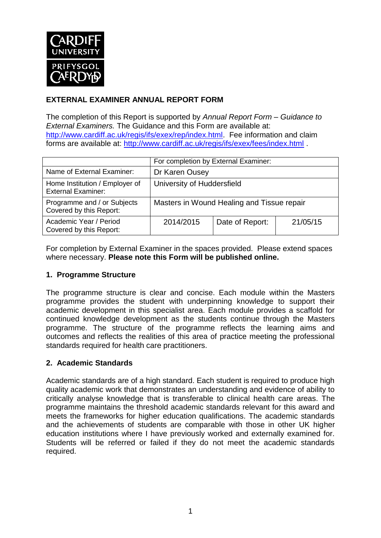

## **EXTERNAL EXAMINER ANNUAL REPORT FORM**

The completion of this Report is supported by *Annual Report Form – Guidance to External Examiners.* The Guidance and this Form are available at: [http://www.cardiff.ac.uk/regis/ifs/exex/rep/index.html.](http://www.cardiff.ac.uk/regis/ifs/exex/rep/index.html) Fee information and claim forms are available at:<http://www.cardiff.ac.uk/regis/ifs/exex/fees/index.html> .

|                                                             | For completion by External Examiner:       |                 |          |  |
|-------------------------------------------------------------|--------------------------------------------|-----------------|----------|--|
| Name of External Examiner:                                  | Dr Karen Ousey                             |                 |          |  |
| Home Institution / Employer of<br><b>External Examiner:</b> | University of Huddersfield                 |                 |          |  |
| Programme and / or Subjects<br>Covered by this Report:      | Masters in Wound Healing and Tissue repair |                 |          |  |
| Academic Year / Period<br>Covered by this Report:           | 2014/2015                                  | Date of Report: | 21/05/15 |  |

For completion by External Examiner in the spaces provided. Please extend spaces where necessary. **Please note this Form will be published online.**

## **1. Programme Structure**

The programme structure is clear and concise. Each module within the Masters programme provides the student with underpinning knowledge to support their academic development in this specialist area. Each module provides a scaffold for continued knowledge development as the students continue through the Masters programme. The structure of the programme reflects the learning aims and outcomes and reflects the realities of this area of practice meeting the professional standards required for health care practitioners.

## **2. Academic Standards**

Academic standards are of a high standard. Each student is required to produce high quality academic work that demonstrates an understanding and evidence of ability to critically analyse knowledge that is transferable to clinical health care areas. The programme maintains the threshold academic standards relevant for this award and meets the frameworks for higher education qualifications. The academic standards and the achievements of students are comparable with those in other UK higher education institutions where I have previously worked and externally examined for. Students will be referred or failed if they do not meet the academic standards required.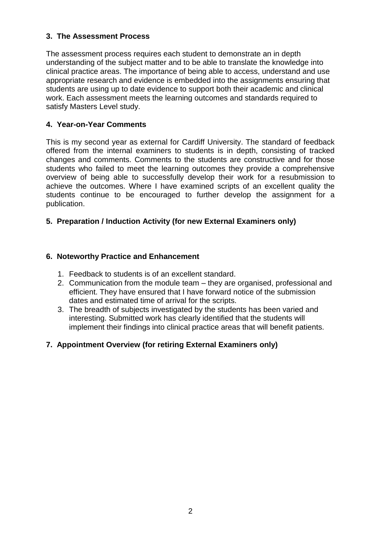## **3. The Assessment Process**

The assessment process requires each student to demonstrate an in depth understanding of the subject matter and to be able to translate the knowledge into clinical practice areas. The importance of being able to access, understand and use appropriate research and evidence is embedded into the assignments ensuring that students are using up to date evidence to support both their academic and clinical work. Each assessment meets the learning outcomes and standards required to satisfy Masters Level study.

#### **4. Year-on-Year Comments**

This is my second year as external for Cardiff University. The standard of feedback offered from the internal examiners to students is in depth, consisting of tracked changes and comments. Comments to the students are constructive and for those students who failed to meet the learning outcomes they provide a comprehensive overview of being able to successfully develop their work for a resubmission to achieve the outcomes. Where I have examined scripts of an excellent quality the students continue to be encouraged to further develop the assignment for a publication.

#### **5. Preparation / Induction Activity (for new External Examiners only)**

#### **6. Noteworthy Practice and Enhancement**

- 1. Feedback to students is of an excellent standard.
- 2. Communication from the module team they are organised, professional and efficient. They have ensured that I have forward notice of the submission dates and estimated time of arrival for the scripts.
- 3. The breadth of subjects investigated by the students has been varied and interesting. Submitted work has clearly identified that the students will implement their findings into clinical practice areas that will benefit patients.

## **7. Appointment Overview (for retiring External Examiners only)**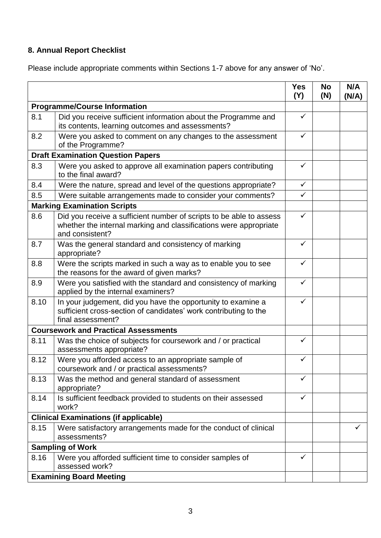# **8. Annual Report Checklist**

Please include appropriate comments within Sections 1-7 above for any answer of 'No'.

|                                             |                                                                                                                                                             | <b>Yes</b><br>(Y) | <b>No</b><br>(N) | N/A<br>(N/A) |
|---------------------------------------------|-------------------------------------------------------------------------------------------------------------------------------------------------------------|-------------------|------------------|--------------|
| <b>Programme/Course Information</b>         |                                                                                                                                                             |                   |                  |              |
| 8.1                                         | Did you receive sufficient information about the Programme and<br>its contents, learning outcomes and assessments?                                          | ✓                 |                  |              |
| 8.2                                         | Were you asked to comment on any changes to the assessment<br>of the Programme?                                                                             | ✓                 |                  |              |
| <b>Draft Examination Question Papers</b>    |                                                                                                                                                             |                   |                  |              |
| 8.3                                         | Were you asked to approve all examination papers contributing<br>to the final award?                                                                        | ✓                 |                  |              |
| 8.4                                         | Were the nature, spread and level of the questions appropriate?                                                                                             | $\checkmark$      |                  |              |
| 8.5                                         | Were suitable arrangements made to consider your comments?                                                                                                  | $\checkmark$      |                  |              |
|                                             | <b>Marking Examination Scripts</b>                                                                                                                          |                   |                  |              |
| 8.6                                         | Did you receive a sufficient number of scripts to be able to assess<br>whether the internal marking and classifications were appropriate<br>and consistent? | ✓                 |                  |              |
| 8.7                                         | Was the general standard and consistency of marking<br>appropriate?                                                                                         | ✓                 |                  |              |
| 8.8                                         | Were the scripts marked in such a way as to enable you to see<br>the reasons for the award of given marks?                                                  | $\checkmark$      |                  |              |
| 8.9                                         | Were you satisfied with the standard and consistency of marking<br>applied by the internal examiners?                                                       | $\checkmark$      |                  |              |
| 8.10                                        | In your judgement, did you have the opportunity to examine a<br>sufficient cross-section of candidates' work contributing to the<br>final assessment?       | $\checkmark$      |                  |              |
| <b>Coursework and Practical Assessments</b> |                                                                                                                                                             |                   |                  |              |
| 8.11                                        | Was the choice of subjects for coursework and / or practical<br>assessments appropriate?                                                                    | $\checkmark$      |                  |              |
| 8.12                                        | Were you afforded access to an appropriate sample of<br>coursework and / or practical assessments?                                                          | ✓                 |                  |              |
| 8.13                                        | Was the method and general standard of assessment<br>appropriate?                                                                                           | ✓                 |                  |              |
| 8.14                                        | Is sufficient feedback provided to students on their assessed<br>work?                                                                                      | $\checkmark$      |                  |              |
|                                             | <b>Clinical Examinations (if applicable)</b>                                                                                                                |                   |                  |              |
| 8.15                                        | Were satisfactory arrangements made for the conduct of clinical<br>assessments?                                                                             |                   |                  | ✓            |
| <b>Sampling of Work</b>                     |                                                                                                                                                             |                   |                  |              |
| 8.16                                        | Were you afforded sufficient time to consider samples of<br>assessed work?                                                                                  | $\checkmark$      |                  |              |
| <b>Examining Board Meeting</b>              |                                                                                                                                                             |                   |                  |              |